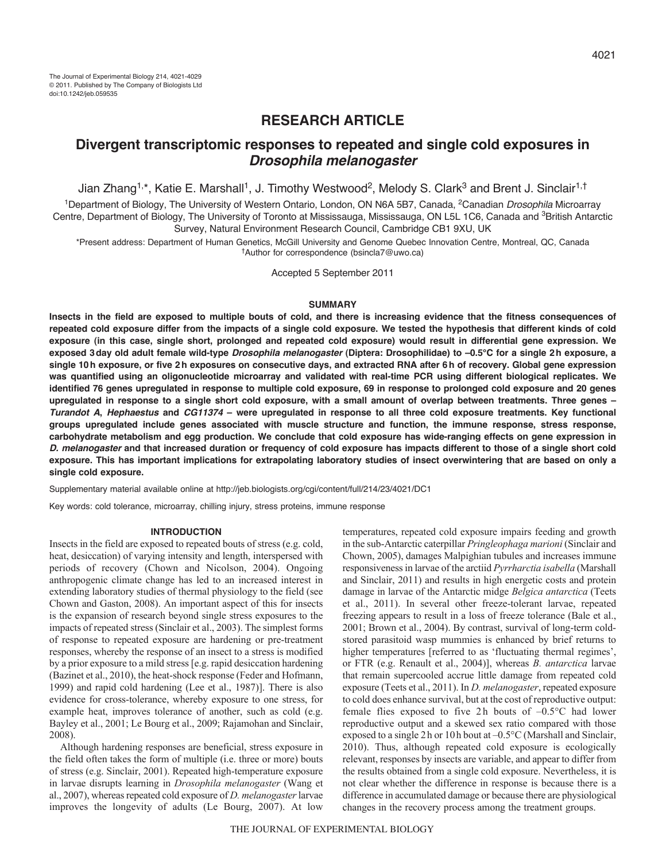# **RESEARCH ARTICLE**

# **Divergent transcriptomic responses to repeated and single cold exposures in** *Drosophila melanogaster*

Jian Zhang<sup>1,\*</sup>, Katie E. Marshall<sup>1</sup>, J. Timothy Westwood<sup>2</sup>, Melody S. Clark<sup>3</sup> and Brent J. Sinclair<sup>1,†</sup>

<sup>1</sup>Department of Biology, The University of Western Ontario, London, ON N6A 5B7, Canada, <sup>2</sup>Canadian *Drosophila* Microarrav Centre, Department of Biology, The University of Toronto at Mississauga, Mississauga, ON L5L 1C6, Canada and <sup>3</sup>British Antarctic Survey, Natural Environment Research Council, Cambridge CB1 9XU, UK

\*Present address: Department of Human Genetics, McGill University and Genome Quebec Innovation Centre, Montreal, QC, Canada †Author for correspondence (bsincla7@uwo.ca)

Accepted 5 September 2011

# **SUMMARY**

**Insects in the field are exposed to multiple bouts of cold, and there is increasing evidence that the fitness consequences of repeated cold exposure differ from the impacts of a single cold exposure. We tested the hypothesis that different kinds of cold exposure (in this case, single short, prolonged and repeated cold exposure) would result in differential gene expression. We exposed 3day old adult female wild-type** *Drosophila melanogaster* **(Diptera: Drosophilidae) to –0.5°C for a single 2h exposure, a single 10h exposure, or five 2h exposures on consecutive days, and extracted RNA after 6h of recovery. Global gene expression was quantified using an oligonucleotide microarray and validated with real-time PCR using different biological replicates. We identified 76 genes upregulated in response to multiple cold exposure, 69 in response to prolonged cold exposure and 20 genes upregulated in response to a single short cold exposure, with a small amount of overlap between treatments. Three genes –** *Turandot A***,** *Hephaestus* **and** *CG11374* **– were upregulated in response to all three cold exposure treatments. Key functional groups upregulated include genes associated with muscle structure and function, the immune response, stress response, carbohydrate metabolism and egg production. We conclude that cold exposure has wide-ranging effects on gene expression in** *D. melanogaster* **and that increased duration or frequency of cold exposure has impacts different to those of a single short cold exposure. This has important implications for extrapolating laboratory studies of insect overwintering that are based on only a single cold exposure.**

Supplementary material available online at http://jeb.biologists.org/cgi/content/full/214/23/4021/DC1

Key words: cold tolerance, microarray, chilling injury, stress proteins, immune response

### **INTRODUCTION**

Insects in the field are exposed to repeated bouts of stress (e.g. cold, heat, desiccation) of varying intensity and length, interspersed with periods of recovery (Chown and Nicolson, 2004). Ongoing anthropogenic climate change has led to an increased interest in extending laboratory studies of thermal physiology to the field (see Chown and Gaston, 2008). An important aspect of this for insects is the expansion of research beyond single stress exposures to the impacts of repeated stress (Sinclair et al., 2003). The simplest forms of response to repeated exposure are hardening or pre-treatment responses, whereby the response of an insect to a stress is modified by a prior exposure to a mild stress [e.g. rapid desiccation hardening (Bazinet et al., 2010), the heat-shock response (Feder and Hofmann, 1999) and rapid cold hardening (Lee et al., 1987)]. There is also evidence for cross-tolerance, whereby exposure to one stress, for example heat, improves tolerance of another, such as cold (e.g. Bayley et al., 2001; Le Bourg et al., 2009; Rajamohan and Sinclair, 2008).

Although hardening responses are beneficial, stress exposure in the field often takes the form of multiple (i.e. three or more) bouts of stress (e.g. Sinclair, 2001). Repeated high-temperature exposure in larvae disrupts learning in *Drosophila melanogaster* (Wang et al., 2007), whereas repeated cold exposure of *D. melanogaster* larvae improves the longevity of adults (Le Bourg, 2007). At low

temperatures, repeated cold exposure impairs feeding and growth in the sub-Antarctic caterpillar *Pringleophaga marioni* (Sinclair and Chown, 2005), damages Malpighian tubules and increases immune responsiveness in larvae of the arctiid *Pyrrharctia isabella* (Marshall and Sinclair, 2011) and results in high energetic costs and protein damage in larvae of the Antarctic midge *Belgica antarctica* (Teets et al., 2011). In several other freeze-tolerant larvae, repeated freezing appears to result in a loss of freeze tolerance (Bale et al., 2001; Brown et al., 2004). By contrast, survival of long-term coldstored parasitoid wasp mummies is enhanced by brief returns to higher temperatures [referred to as 'fluctuating thermal regimes', or FTR (e.g. Renault et al., 2004)], whereas *B. antarctica* larvae that remain supercooled accrue little damage from repeated cold exposure (Teets et al., 2011). In *D. melanogaster*, repeated exposure to cold does enhance survival, but at the cost of reproductive output: female flies exposed to five 2h bouts of  $-0.5$ °C had lower reproductive output and a skewed sex ratio compared with those exposed to a single 2h or 10h bout at –0.5°C (Marshall and Sinclair, 2010). Thus, although repeated cold exposure is ecologically relevant, responses by insects are variable, and appear to differ from the results obtained from a single cold exposure. Nevertheless, it is not clear whether the difference in response is because there is a difference in accumulated damage or because there are physiological changes in the recovery process among the treatment groups.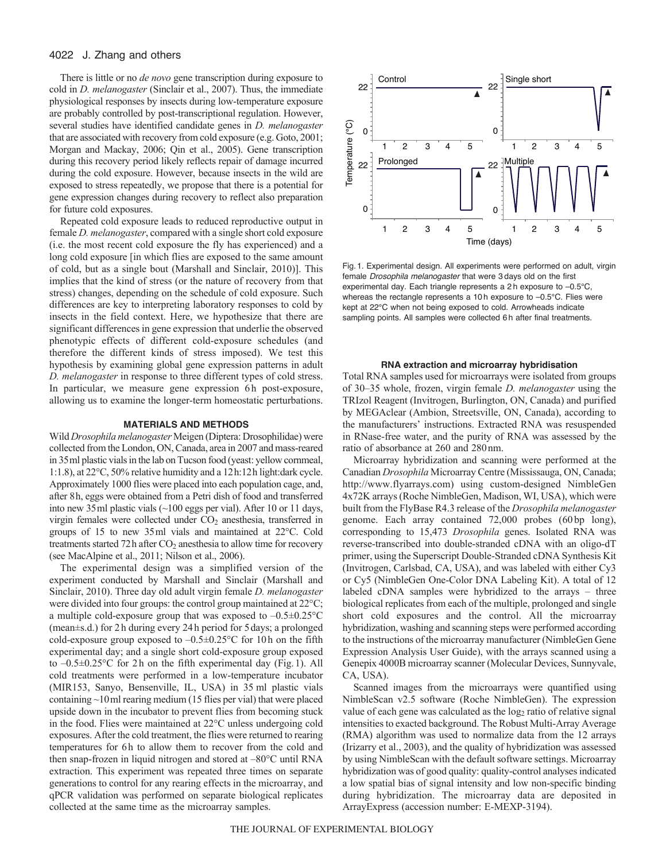# 4022 J. Zhang and others

There is little or no *de novo* gene transcription during exposure to cold in *D. melanogaster* (Sinclair et al., 2007). Thus, the immediate physiological responses by insects during low-temperature exposure are probably controlled by post-transcriptional regulation. However, several studies have identified candidate genes in *D. melanogaster* that are associated with recovery from cold exposure (e.g. Goto, 2001; Morgan and Mackay, 2006; Qin et al., 2005). Gene transcription during this recovery period likely reflects repair of damage incurred during the cold exposure. However, because insects in the wild are exposed to stress repeatedly, we propose that there is a potential for gene expression changes during recovery to reflect also preparation for future cold exposures.

Repeated cold exposure leads to reduced reproductive output in female *D. melanogaster*, compared with a single short cold exposure (i.e. the most recent cold exposure the fly has experienced) and a long cold exposure [in which flies are exposed to the same amount of cold, but as a single bout (Marshall and Sinclair, 2010)]. This implies that the kind of stress (or the nature of recovery from that stress) changes, depending on the schedule of cold exposure. Such differences are key to interpreting laboratory responses to cold by insects in the field context. Here, we hypothesize that there are significant differences in gene expression that underlie the observed phenotypic effects of different cold-exposure schedules (and therefore the different kinds of stress imposed). We test this hypothesis by examining global gene expression patterns in adult *D. melanogaster* in response to three different types of cold stress. In particular, we measure gene expression 6h post-exposure, allowing us to examine the longer-term homeostatic perturbations.

# **MATERIALS AND METHODS**

Wild *Drosophila melanogaster* Meigen (Diptera: Drosophilidae) were collected from the London, ON, Canada, area in 2007 and mass-reared in 35ml plastic vials in the lab on Tucson food (yeast: yellow cornmeal, 1:1.8), at 22°C, 50% relative humidity and a 12h:12h light:dark cycle. Approximately 1000 flies were placed into each population cage, and, after 8h, eggs were obtained from a Petri dish of food and transferred into new 35ml plastic vials (~100 eggs per vial). After 10 or 11 days, virgin females were collected under CO<sub>2</sub> anesthesia, transferred in groups of 15 to new 35ml vials and maintained at 22°C. Cold treatments started  $72h$  after  $CO<sub>2</sub>$  anesthesia to allow time for recovery (see MacAlpine et al., 2011; Nilson et al., 2006).

The experimental design was a simplified version of the experiment conducted by Marshall and Sinclair (Marshall and Sinclair, 2010). Three day old adult virgin female *D. melanogaster* were divided into four groups: the control group maintained at 22°C; a multiple cold-exposure group that was exposed to  $-0.5\pm0.25^{\circ}$ C (mean±s.d.) for 2h during every 24h period for 5days; a prolonged cold-exposure group exposed to  $-0.5\pm0.25$ °C for 10h on the fifth experimental day; and a single short cold-exposure group exposed to –0.5±0.25°C for 2h on the fifth experimental day (Fig.1). All cold treatments were performed in a low-temperature incubator (MIR153, Sanyo, Bensenville, IL, USA) in 35 ml plastic vials containing ~10ml rearing medium (15 flies per vial) that were placed upside down in the incubator to prevent flies from becoming stuck in the food. Flies were maintained at 22°C unless undergoing cold exposures. After the cold treatment, the flies were returned to rearing temperatures for 6h to allow them to recover from the cold and then snap-frozen in liquid nitrogen and stored at –80°C until RNA extraction. This experiment was repeated three times on separate generations to control for any rearing effects in the microarray, and qPCR validation was performed on separate biological replicates collected at the same time as the microarray samples.



Fig. 1. Experimental design. All experiments were performed on adult, virgin female *Drosophila melanogaster* that were 3 days old on the first experimental day. Each triangle represents a 2 h exposure to –0.5°C, whereas the rectangle represents a 10 h exposure to –0.5°C. Flies were kept at 22°C when not being exposed to cold. Arrowheads indicate sampling points. All samples were collected 6 h after final treatments.

#### **RNA extraction and microarray hybridisation**

Total RNA samples used for microarrays were isolated from groups of 30–35 whole, frozen, virgin female *D. melanogaster* using the TRIzol Reagent (Invitrogen, Burlington, ON, Canada) and purified by MEGAclear (Ambion, Streetsville, ON, Canada), according to the manufacturers' instructions. Extracted RNA was resuspended in RNase-free water, and the purity of RNA was assessed by the ratio of absorbance at 260 and 280nm.

Microarray hybridization and scanning were performed at the Canadian *Drosophila* Microarray Centre (Mississauga, ON, Canada; http://www.flyarrays.com) using custom-designed NimbleGen 4x72K arrays (Roche NimbleGen, Madison, WI, USA), which were built from the FlyBase R4.3 release of the *Drosophila melanogaster* genome. Each array contained 72,000 probes (60 bp long), corresponding to 15,473 *Drosophila* genes. Isolated RNA was reverse-transcribed into double-stranded cDNA with an oligo-dT primer, using the Superscript Double-Stranded cDNA Synthesis Kit (Invitrogen, Carlsbad, CA, USA), and was labeled with either Cy3 or Cy5 (NimbleGen One-Color DNA Labeling Kit). A total of 12 labeled cDNA samples were hybridized to the arrays – three biological replicates from each of the multiple, prolonged and single short cold exposures and the control. All the microarray hybridization, washing and scanning steps were performed according to the instructions of the microarray manufacturer (NimbleGen Gene Expression Analysis User Guide), with the arrays scanned using a Genepix 4000B microarray scanner (Molecular Devices, Sunnyvale, CA, USA).

Scanned images from the microarrays were quantified using NimbleScan v2.5 software (Roche NimbleGen). The expression value of each gene was calculated as the log<sub>2</sub> ratio of relative signal intensities to exacted background. The Robust Multi-Array Average (RMA) algorithm was used to normalize data from the 12 arrays (Irizarry et al., 2003), and the quality of hybridization was assessed by using NimbleScan with the default software settings. Microarray hybridization was of good quality: quality-control analyses indicated a low spatial bias of signal intensity and low non-specific binding during hybridization. The microarray data are deposited in ArrayExpress (accession number: E-MEXP-3194).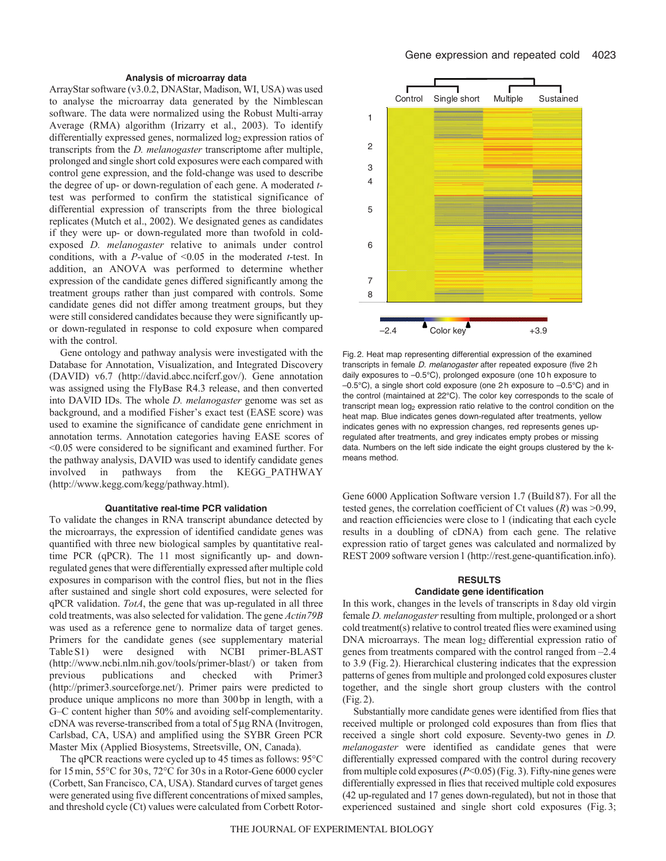# **Analysis of microarray data**

ArrayStar software (v3.0.2, DNAStar, Madison, WI, USA) was used to analyse the microarray data generated by the Nimblescan software. The data were normalized using the Robust Multi-array Average (RMA) algorithm (Irizarry et al., 2003). To identify differentially expressed genes, normalized log<sub>2</sub> expression ratios of transcripts from the *D. melanogaster* transcriptome after multiple, prolonged and single short cold exposures were each compared with control gene expression, and the fold-change was used to describe the degree of up- or down-regulation of each gene. A moderated *t*test was performed to confirm the statistical significance of differential expression of transcripts from the three biological replicates (Mutch et al., 2002). We designated genes as candidates if they were up- or down-regulated more than twofold in coldexposed *D. melanogaster* relative to animals under control conditions, with a *P*-value of <0.05 in the moderated *t*-test. In addition, an ANOVA was performed to determine whether expression of the candidate genes differed significantly among the treatment groups rather than just compared with controls. Some candidate genes did not differ among treatment groups, but they were still considered candidates because they were significantly upor down-regulated in response to cold exposure when compared with the control.

Gene ontology and pathway analysis were investigated with the Database for Annotation, Visualization, and Integrated Discovery (DAVID) v6.7 (http://david.abcc.ncifcrf.gov/). Gene annotation was assigned using the FlyBase R4.3 release, and then converted into DAVID IDs. The whole *D. melanogaster* genome was set as background, and a modified Fisher's exact test (EASE score) was used to examine the significance of candidate gene enrichment in annotation terms. Annotation categories having EASE scores of <0.05 were considered to be significant and examined further. For the pathway analysis, DAVID was used to identify candidate genes involved in pathways from the KEGG\_PATHWAY (http://www.kegg.com/kegg/pathway.html).

#### **Quantitative real-time PCR validation**

To validate the changes in RNA transcript abundance detected by the microarrays, the expression of identified candidate genes was quantified with three new biological samples by quantitative realtime PCR (qPCR). The 11 most significantly up- and downregulated genes that were differentially expressed after multiple cold exposures in comparison with the control flies, but not in the flies after sustained and single short cold exposures, were selected for qPCR validation. *TotA*, the gene that was up-regulated in all three cold treatments, was also selected for validation. The gene *Actin79B* was used as a reference gene to normalize data of target genes. Primers for the candidate genes (see supplementary material Table S1) were designed with NCBI primer-BLAST (http://www.ncbi.nlm.nih.gov/tools/primer-blast/) or taken from previous publications and checked with Primer3 (http://primer3.sourceforge.net/). Primer pairs were predicted to produce unique amplicons no more than 300bp in length, with a G–C content higher than 50% and avoiding self-complementarity. cDNA was reverse-transcribed from a total of 5 µg RNA (Invitrogen, Carlsbad, CA, USA) and amplified using the SYBR Green PCR Master Mix (Applied Biosystems, Streetsville, ON, Canada).

The qPCR reactions were cycled up to 45 times as follows: 95°C for 15min, 55°C for 30s, 72°C for 30s in a Rotor-Gene 6000 cycler (Corbett, San Francisco, CA, USA). Standard curves of target genes were generated using five different concentrations of mixed samples, and threshold cycle (Ct) values were calculated from Corbett Rotor-



Fig. 2. Heat map representing differential expression of the examined transcripts in female *D. melanogaster* after repeated exposure (five 2 h daily exposures to –0.5°C), prolonged exposure (one 10 h exposure to –0.5°C), a single short cold exposure (one 2 h exposure to –0.5°C) and in the control (maintained at 22°C). The color key corresponds to the scale of transcript mean log<sub>2</sub> expression ratio relative to the control condition on the heat map. Blue indicates genes down-regulated after treatments, yellow indicates genes with no expression changes, red represents genes upregulated after treatments, and grey indicates empty probes or missing data. Numbers on the left side indicate the eight groups clustered by the kmeans method.

Gene 6000 Application Software version 1.7 (Build87). For all the tested genes, the correlation coefficient of Ct values (*R*) was >0.99, and reaction efficiencies were close to 1 (indicating that each cycle results in a doubling of cDNA) from each gene. The relative expression ratio of target genes was calculated and normalized by REST 2009 software version 1 (http://rest.gene-quantification.info).

## **RESULTS**

# **Candidate gene identification**

In this work, changes in the levels of transcripts in 8day old virgin female *D. melanogaster* resulting from multiple, prolonged or a short cold treatment(s) relative to control treated flies were examined using DNA microarrays. The mean  $log<sub>2</sub>$  differential expression ratio of genes from treatments compared with the control ranged from –2.4 to 3.9 (Fig.2). Hierarchical clustering indicates that the expression patterns of genes from multiple and prolonged cold exposures cluster together, and the single short group clusters with the control (Fig.2).

Substantially more candidate genes were identified from flies that received multiple or prolonged cold exposures than from flies that received a single short cold exposure. Seventy-two genes in *D. melanogaster* were identified as candidate genes that were differentially expressed compared with the control during recovery from multiple cold exposures (*P*<0.05) (Fig.3). Fifty-nine genes were differentially expressed in flies that received multiple cold exposures (42 up-regulated and 17 genes down-regulated), but not in those that experienced sustained and single short cold exposures (Fig. 3;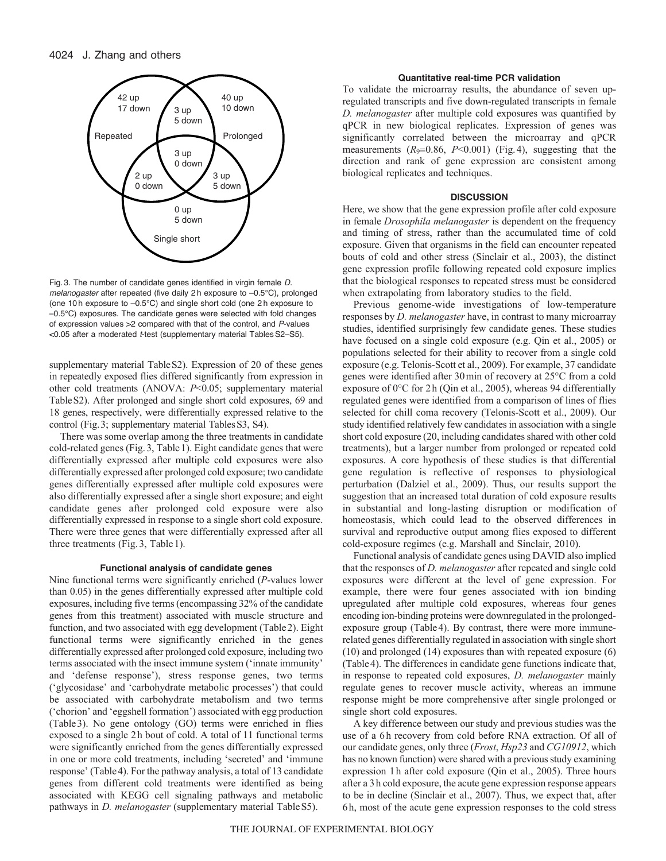

Fig. 3. The number of candidate genes identified in virgin female *D. melanogaster* after repeated (five daily 2 h exposure to –0.5°C), prolonged (one 10 h exposure to –0.5°C) and single short cold (one 2 h exposure to –0.5°C) exposures. The candidate genes were selected with fold changes of expression values >2 compared with that of the control, and *P*-values <0.05 after a moderated *t*-test (supplementary material TablesS2–S5).

supplementary material Table S2). Expression of 20 of these genes in repeatedly exposed flies differed significantly from expression in other cold treatments (ANOVA: *P*<0.05; supplementary material TableS2). After prolonged and single short cold exposures, 69 and 18 genes, respectively, were differentially expressed relative to the control (Fig.3; supplementary material TablesS3, S4).

There was some overlap among the three treatments in candidate cold-related genes (Fig.3, Table1). Eight candidate genes that were differentially expressed after multiple cold exposures were also differentially expressed after prolonged cold exposure; two candidate genes differentially expressed after multiple cold exposures were also differentially expressed after a single short exposure; and eight candidate genes after prolonged cold exposure were also differentially expressed in response to a single short cold exposure. There were three genes that were differentially expressed after all three treatments (Fig. 3, Table 1).

## **Functional analysis of candidate genes**

Nine functional terms were significantly enriched (*P*-values lower than 0.05) in the genes differentially expressed after multiple cold exposures, including five terms (encompassing 32% of the candidate genes from this treatment) associated with muscle structure and function, and two associated with egg development (Table2). Eight functional terms were significantly enriched in the genes differentially expressed after prolonged cold exposure, including two terms associated with the insect immune system ('innate immunity' and 'defense response'), stress response genes, two terms ('glycosidase' and 'carbohydrate metabolic processes') that could be associated with carbohydrate metabolism and two terms ('chorion' and 'eggshell formation') associated with egg production (Table3). No gene ontology (GO) terms were enriched in flies exposed to a single 2h bout of cold. A total of 11 functional terms were significantly enriched from the genes differentially expressed in one or more cold treatments, including 'secreted' and 'immune response' (Table4). For the pathway analysis, a total of 13 candidate genes from different cold treatments were identified as being associated with KEGG cell signaling pathways and metabolic pathways in *D. melanogaster* (supplementary material TableS5).

## **Quantitative real-time PCR validation**

To validate the microarray results, the abundance of seven upregulated transcripts and five down-regulated transcripts in female *D. melanogaster* after multiple cold exposures was quantified by qPCR in new biological replicates. Expression of genes was significantly correlated between the microarray and qPCR measurements  $(R_9=0.86, P<0.001)$  (Fig. 4), suggesting that the direction and rank of gene expression are consistent among biological replicates and techniques.

#### **DISCUSSION**

Here, we show that the gene expression profile after cold exposure in female *Drosophila melanogaster* is dependent on the frequency and timing of stress, rather than the accumulated time of cold exposure. Given that organisms in the field can encounter repeated bouts of cold and other stress (Sinclair et al., 2003), the distinct gene expression profile following repeated cold exposure implies that the biological responses to repeated stress must be considered when extrapolating from laboratory studies to the field.

Previous genome-wide investigations of low-temperature responses by *D. melanogaster* have, in contrast to many microarray studies, identified surprisingly few candidate genes. These studies have focused on a single cold exposure (e.g. Qin et al., 2005) or populations selected for their ability to recover from a single cold exposure (e.g. Telonis-Scott et al., 2009). For example, 37 candidate genes were identified after 30min of recovery at 25°C from a cold exposure of 0°C for 2h (Qin et al., 2005), whereas 94 differentially regulated genes were identified from a comparison of lines of flies selected for chill coma recovery (Telonis-Scott et al., 2009). Our study identified relatively few candidates in association with a single short cold exposure (20, including candidates shared with other cold treatments), but a larger number from prolonged or repeated cold exposures. A core hypothesis of these studies is that differential gene regulation is reflective of responses to physiological perturbation (Dalziel et al., 2009). Thus, our results support the suggestion that an increased total duration of cold exposure results in substantial and long-lasting disruption or modification of homeostasis, which could lead to the observed differences in survival and reproductive output among flies exposed to different cold-exposure regimes (e.g. Marshall and Sinclair, 2010).

Functional analysis of candidate genes using DAVID also implied that the responses of *D. melanogaster* after repeated and single cold exposures were different at the level of gene expression. For example, there were four genes associated with ion binding upregulated after multiple cold exposures, whereas four genes encoding ion-binding proteins were downregulated in the prolongedexposure group (Table4). By contrast, there were more immunerelated genes differentially regulated in association with single short (10) and prolonged (14) exposures than with repeated exposure (6) (Table4). The differences in candidate gene functions indicate that, in response to repeated cold exposures, *D. melanogaster* mainly regulate genes to recover muscle activity, whereas an immune response might be more comprehensive after single prolonged or single short cold exposures.

A key difference between our study and previous studies was the use of a 6h recovery from cold before RNA extraction. Of all of our candidate genes, only three (*Frost*, *Hsp23* and *CG10912*, which has no known function) were shared with a previous study examining expression 1h after cold exposure (Qin et al., 2005). Three hours after a 3h cold exposure, the acute gene expression response appears to be in decline (Sinclair et al., 2007). Thus, we expect that, after 6h, most of the acute gene expression responses to the cold stress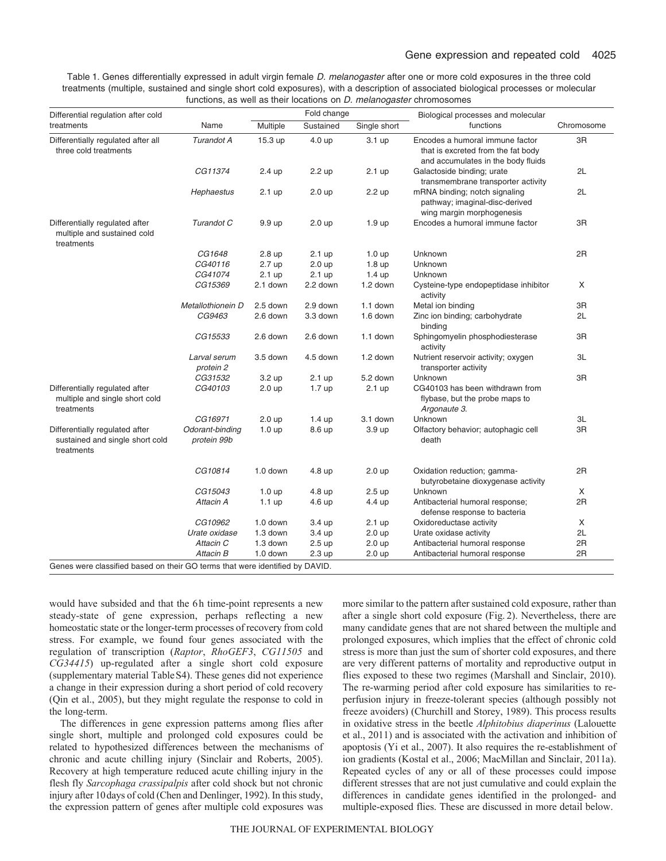Table 1. Genes differentially expressed in adult virgin female *D. melanogaster* after one or more cold exposures in the three cold treatments (multiple, sustained and single short cold exposures), with a description of associated biological processes or molecular functions, as well as their locations on *D. melanogaster* chromosomes

| Differential regulation after cold                                              |                                |                   | Fold change       |                   | Biological processes and molecular                                                                          |            |
|---------------------------------------------------------------------------------|--------------------------------|-------------------|-------------------|-------------------|-------------------------------------------------------------------------------------------------------------|------------|
| treatments                                                                      | Name                           | Multiple          | Sustained         | Single short      | functions                                                                                                   | Chromosome |
| Differentially regulated after all<br>three cold treatments                     | Turandot A                     | 15.3 up           | 4.0 up            | $3.1 \text{ up}$  | Encodes a humoral immune factor<br>that is excreted from the fat body<br>and accumulates in the body fluids | 3R         |
|                                                                                 | CG11374                        | 2.4 up            | 2.2 up            | $2.1$ up          | Galactoside binding; urate<br>transmembrane transporter activity                                            | 2L         |
|                                                                                 | Hephaestus                     | 2.1 up            | $2.0 \text{ up}$  | 2.2 up            | mRNA binding; notch signaling<br>pathway; imaginal-disc-derived<br>wing margin morphogenesis                | 2L         |
| Differentially regulated after<br>multiple and sustained cold<br>treatments     | Turandot C                     | 9.9 up            | $2.0 \text{ up}$  | 1.9 <sub>up</sub> | Encodes a humoral immune factor                                                                             | 3R         |
|                                                                                 | CG1648                         | 2.8 up            | $2.1 \text{ up}$  | 1.0 <sub>up</sub> | Unknown                                                                                                     | 2R         |
|                                                                                 | CG40116                        | 2.7 up            | $2.0 \text{ up}$  | 1.8 <sub>up</sub> | Unknown                                                                                                     |            |
|                                                                                 | CG41074                        | $2.1$ up          | $2.1$ up          | $1.4 \text{ up}$  | Unknown                                                                                                     |            |
|                                                                                 | CG15369                        | 2.1 down          | 2.2 down          | 1.2 down          | Cysteine-type endopeptidase inhibitor<br>activity                                                           | X          |
|                                                                                 | Metallothionein D              | 2.5 down          | 2.9 down          | 1.1 down          | Metal ion binding                                                                                           | 3R         |
|                                                                                 | CG9463                         | 2.6 down          | 3.3 down          | 1.6 down          | Zinc ion binding; carbohydrate<br>binding                                                                   | 2L         |
|                                                                                 | CG15533                        | 2.6 down          | 2.6 down          | 1.1 down          | Sphingomyelin phosphodiesterase<br>activity                                                                 | 3R         |
|                                                                                 | Larval serum<br>protein 2      | 3.5 down          | 4.5 down          | 1.2 down          | Nutrient reservoir activity; oxygen<br>transporter activity                                                 | 3L         |
|                                                                                 | CG31532                        | 3.2 up            | $2.1 \text{ up}$  | 5.2 down          | Unknown                                                                                                     | 3R         |
| Differentially regulated after<br>multiple and single short cold<br>treatments  | CG40103                        | 2.0 <sub>up</sub> | 1.7 <sub>up</sub> | $2.1 \text{ up}$  | CG40103 has been withdrawn from<br>flybase, but the probe maps to<br>Argonaute 3.                           |            |
|                                                                                 | CG16971                        | 2.0 <sub>up</sub> | $1.4 \text{ up}$  | 3.1 down          | Unknown                                                                                                     | 3L         |
| Differentially regulated after<br>sustained and single short cold<br>treatments | Odorant-binding<br>protein 99b | 1.0 <sub>up</sub> | 8.6 up            | 3.9 up            | Olfactory behavior; autophagic cell<br>death                                                                | 3R         |
|                                                                                 | CG10814                        | 1.0 down          | 4.8 up            | $2.0 \text{ up}$  | Oxidation reduction; gamma-<br>butyrobetaine dioxygenase activity                                           | 2R         |
|                                                                                 | CG15043                        | $1.0 \text{ up}$  | 4.8 up            | 2.5 <sub>up</sub> | Unknown                                                                                                     | X          |
|                                                                                 | Attacin A                      | $1.1 \text{ up}$  | 4.6 up            | 4.4 up            | Antibacterial humoral response;<br>defense response to bacteria                                             | 2R         |
|                                                                                 | CG10962                        | 1.0 down          | 3.4 up            | 2.1 <sub>up</sub> | Oxidoreductase activity                                                                                     | X          |
|                                                                                 | Urate oxidase                  | 1.3 down          | 3.4 up            | $2.0 \text{ up}$  | Urate oxidase activity                                                                                      | 2L         |
|                                                                                 | Attacin C                      | 1.3 down          | 2.5 <sub>up</sub> | $2.0 \text{ up}$  | Antibacterial humoral response                                                                              | 2R         |
|                                                                                 | Attacin B                      | 1.0 down          | $2.3 \text{ up}$  | 2.0 <sub>up</sub> | Antibacterial humoral response                                                                              | 2R         |

Genes were classified based on their GO terms that were identified by DAVID.

would have subsided and that the 6h time-point represents a new steady-state of gene expression, perhaps reflecting a new homeostatic state or the longer-term processes of recovery from cold stress. For example, we found four genes associated with the regulation of transcription (*Raptor*, *RhoGEF3*, *CG11505* and *CG34415*) up-regulated after a single short cold exposure (supplementary material TableS4). These genes did not experience a change in their expression during a short period of cold recovery (Qin et al., 2005), but they might regulate the response to cold in the long-term.

The differences in gene expression patterns among flies after single short, multiple and prolonged cold exposures could be related to hypothesized differences between the mechanisms of chronic and acute chilling injury (Sinclair and Roberts, 2005). Recovery at high temperature reduced acute chilling injury in the flesh fly *Sarcophaga crassipalpis* after cold shock but not chronic injury after 10days of cold (Chen and Denlinger, 1992). In this study, the expression pattern of genes after multiple cold exposures was

more similar to the pattern after sustained cold exposure, rather than after a single short cold exposure (Fig. 2). Nevertheless, there are many candidate genes that are not shared between the multiple and prolonged exposures, which implies that the effect of chronic cold stress is more than just the sum of shorter cold exposures, and there are very different patterns of mortality and reproductive output in flies exposed to these two regimes (Marshall and Sinclair, 2010). The re-warming period after cold exposure has similarities to reperfusion injury in freeze-tolerant species (although possibly not freeze avoiders) (Churchill and Storey, 1989). This process results in oxidative stress in the beetle *Alphitobius diaperinus* (Lalouette et al., 2011) and is associated with the activation and inhibition of apoptosis (Yi et al., 2007). It also requires the re-establishment of ion gradients (Kostal et al., 2006; MacMillan and Sinclair, 2011a). Repeated cycles of any or all of these processes could impose different stresses that are not just cumulative and could explain the differences in candidate genes identified in the prolonged- and multiple-exposed flies. These are discussed in more detail below.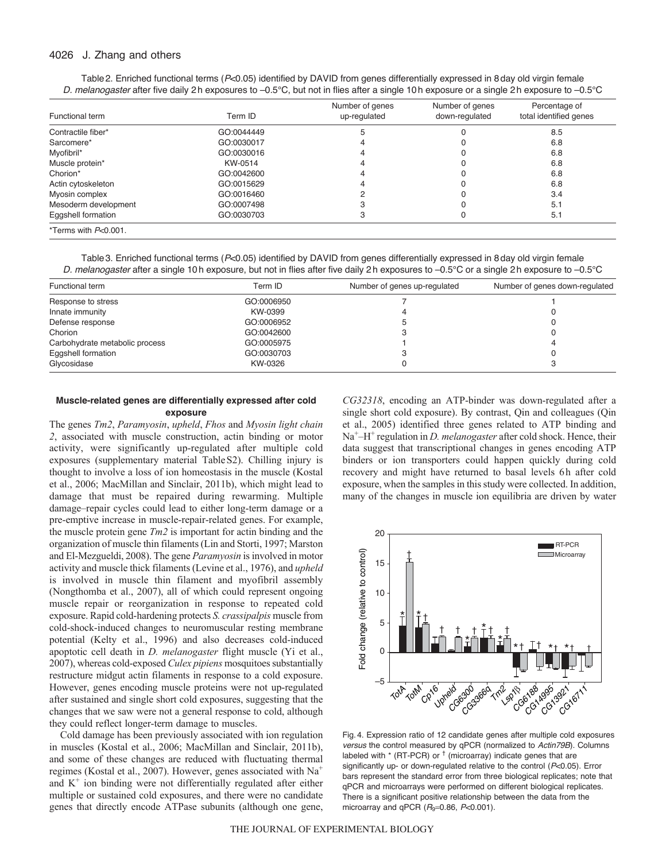# 4026 J. Zhang and others

| Table 2. Enriched functional terms (P<0.05) identified by DAVID from genes differentially expressed in 8 day old virgin female          |  |  |  |
|-----------------------------------------------------------------------------------------------------------------------------------------|--|--|--|
| D. melanogaster after five daily 2h exposures to –0.5°C, but not in flies after a single 10h exposure or a single 2h exposure to –0.5°C |  |  |  |

| Functional term         | Term ID    | Number of genes<br>up-regulated | Number of genes<br>down-regulated | Percentage of<br>total identified genes |
|-------------------------|------------|---------------------------------|-----------------------------------|-----------------------------------------|
| Contractile fiber*      | GO:0044449 |                                 |                                   | 8.5                                     |
| Sarcomere*              | GO:0030017 |                                 |                                   | 6.8                                     |
| Myofibril*              | GO:0030016 |                                 |                                   | 6.8                                     |
| Muscle protein*         | KW-0514    |                                 |                                   | 6.8                                     |
| Chorion*                | GO:0042600 |                                 |                                   | 6.8                                     |
| Actin cytoskeleton      | GO:0015629 |                                 |                                   | 6.8                                     |
| Myosin complex          | GO:0016460 |                                 |                                   | 3.4                                     |
| Mesoderm development    | GO:0007498 |                                 |                                   | 5.1                                     |
| Eggshell formation      | GO:0030703 |                                 |                                   | 5.1                                     |
| *Terms with $P<0.001$ . |            |                                 |                                   |                                         |

Table3. Enriched functional terms (*P*<0.05) identified by DAVID from genes differentially expressed in 8day old virgin female *D. melanogaster* after a single 10h exposure, but not in flies after five daily 2h exposures to –0.5°C or a single 2h exposure to –0.5°C

| Functional term                | Term ID    | Number of genes up-regulated | Number of genes down-regulated |  |
|--------------------------------|------------|------------------------------|--------------------------------|--|
| Response to stress             | GO:0006950 |                              |                                |  |
| Innate immunity                | KW-0399    |                              |                                |  |
| Defense response               | GO:0006952 |                              |                                |  |
| Chorion                        | GO:0042600 |                              |                                |  |
| Carbohydrate metabolic process | GO:0005975 |                              |                                |  |
| Eggshell formation             | GO:0030703 |                              |                                |  |
| Glycosidase                    | KW-0326    |                              | o                              |  |

# **Muscle-related genes are differentially expressed after cold exposure**

The genes *Tm2*, *Paramyosin*, *upheld*, *Fhos* and *Myosin light chain 2*, associated with muscle construction, actin binding or motor activity, were significantly up-regulated after multiple cold exposures (supplementary material TableS2). Chilling injury is thought to involve a loss of ion homeostasis in the muscle (Kostal et al., 2006; MacMillan and Sinclair, 2011b), which might lead to damage that must be repaired during rewarming. Multiple damage–repair cycles could lead to either long-term damage or a pre-emptive increase in muscle-repair-related genes. For example, the muscle protein gene *Tm2* is important for actin binding and the organization of muscle thin filaments (Lin and Storti, 1997; Marston and El-Mezgueldi, 2008). The gene *Paramyosin* is involved in motor activity and muscle thick filaments (Levine et al., 1976), and *upheld* is involved in muscle thin filament and myofibril assembly (Nongthomba et al., 2007), all of which could represent ongoing muscle repair or reorganization in response to repeated cold exposure. Rapid cold-hardening protects *S. crassipalpis* muscle from cold-shock-induced changes to neuromuscular resting membrane potential (Kelty et al., 1996) and also decreases cold-induced apoptotic cell death in *D. melanogaster* flight muscle (Yi et al., 2007), whereas cold-exposed *Culex pipiens* mosquitoes substantially restructure midgut actin filaments in response to a cold exposure. However, genes encoding muscle proteins were not up-regulated after sustained and single short cold exposures, suggesting that the changes that we saw were not a general response to cold, although they could reflect longer-term damage to muscles.

Cold damage has been previously associated with ion regulation in muscles (Kostal et al., 2006; MacMillan and Sinclair, 2011b), and some of these changes are reduced with fluctuating thermal regimes (Kostal et al., 2007). However, genes associated with Na+ and  $K^+$  ion binding were not differentially regulated after either multiple or sustained cold exposures, and there were no candidate genes that directly encode ATPase subunits (although one gene, *CG32318*, encoding an ATP-binder was down-regulated after a single short cold exposure). By contrast, Qin and colleagues (Qin et al., 2005) identified three genes related to ATP binding and Na<sup>+</sup>–H<sup>+</sup> regulation in *D. melanogaster* after cold shock. Hence, their data suggest that transcriptional changes in genes encoding ATP binders or ion transporters could happen quickly during cold recovery and might have returned to basal levels 6h after cold exposure, when the samples in this study were collected. In addition, many of the changes in muscle ion equilibria are driven by water



Fig. 4. Expression ratio of 12 candidate genes after multiple cold exposures *versus* the control measured by qPCR (normalized to *Actin79B*). Columns labeled with  $*$  (RT-PCR) or  $\dagger$  (microarray) indicate genes that are significantly up- or down-regulated relative to the control (*P*<0.05). Error bars represent the standard error from three biological replicates; note that qPCR and microarrays were performed on different biological replicates. There is a significant positive relationship between the data from the microarray and qPCR  $(R<sub>9</sub>=0.86, P<0.001)$ .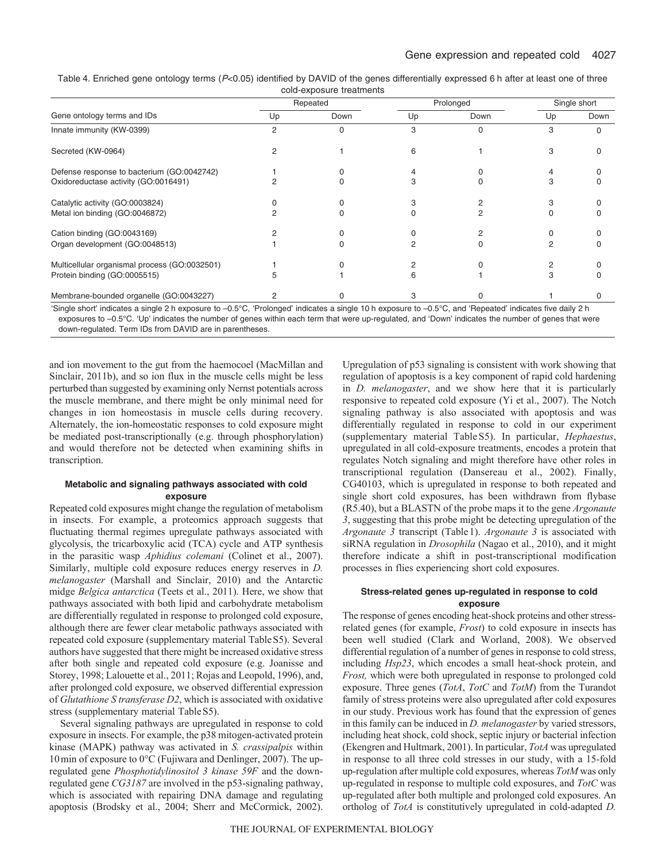| Table 4. Enriched gene ontology terms (P<0.05) identified by DAVID of the genes differentially expressed 6 h after at least one of three |  |  |  |  |  |  |  |
|------------------------------------------------------------------------------------------------------------------------------------------|--|--|--|--|--|--|--|
| cold-exposure treatments                                                                                                                 |  |  |  |  |  |  |  |

| cold caposure treatments                      |          |      |           |      |              |      |  |
|-----------------------------------------------|----------|------|-----------|------|--------------|------|--|
|                                               | Repeated |      | Prolonged |      | Single short |      |  |
| Gene ontology terms and IDs                   | Up       | Down | Up        | Down | Up           | Down |  |
| Innate immunity (KW-0399)                     | 2        |      | 3         |      |              | U    |  |
| Secreted (KW-0964)                            |          |      | ิค        |      | 3            | U    |  |
| Defense response to bacterium (GO:0042742)    |          |      |           |      |              |      |  |
| Oxidoreductase activity (GO:0016491)          |          |      |           |      | з            | 0    |  |
| Catalytic activity (GO:0003824)               |          |      |           |      |              |      |  |
| Metal ion binding (GO:0046872)                |          |      |           |      |              |      |  |
| Cation binding (GO:0043169)                   |          |      |           |      |              |      |  |
| Organ development (GO:0048513)                |          |      |           |      |              | 0    |  |
| Multicellular organismal process (GO:0032501) |          |      |           |      |              |      |  |
| Protein binding (GO:0005515)                  |          |      |           |      |              |      |  |
| Membrane-bounded organelle (GO:0043227)       |          |      |           |      |              |      |  |

'Single short' indicates a single 2 h exposure to –0.5°C, 'Prolonged' indicates a single 10 h exposure to –0.5°C, and 'Repeated' indicates five daily 2 h exposures to –0.5°C. 'Up' indicates the number of genes within each term that were up-regulated, and 'Down' indicates the number of genes that were down-regulated. Term IDs from DAVID are in parentheses.

and ion movement to the gut from the haemocoel (MacMillan and Sinclair, 2011b), and so ion flux in the muscle cells might be less perturbed than suggested by examining only Nernst potentials across the muscle membrane, and there might be only minimal need for changes in ion homeostasis in muscle cells during recovery. Alternately, the ion-homeostatic responses to cold exposure might be mediated post-transcriptionally (e.g. through phosphorylation) and would therefore not be detected when examining shifts in transcription.

# **Metabolic and signaling pathways associated with cold exposure**

Repeated cold exposures might change the regulation of metabolism in insects. For example, a proteomics approach suggests that fluctuating thermal regimes upregulate pathways associated with glycolysis, the tricarboxylic acid (TCA) cycle and ATP synthesis in the parasitic wasp *Aphidius colemani* (Colinet et al., 2007). Similarly, multiple cold exposure reduces energy reserves in *D. melanogaster* (Marshall and Sinclair, 2010) and the Antarctic midge *Belgica antarctica* (Teets et al., 2011). Here, we show that pathways associated with both lipid and carbohydrate metabolism are differentially regulated in response to prolonged cold exposure, although there are fewer clear metabolic pathways associated with repeated cold exposure (supplementary material TableS5). Several authors have suggested that there might be increased oxidative stress after both single and repeated cold exposure (e.g. Joanisse and Storey, 1998; Lalouette et al., 2011; Rojas and Leopold, 1996), and, after prolonged cold exposure, we observed differential expression of *Glutathione S transferase D2*, which is associated with oxidative stress (supplementary material TableS5).

Several signaling pathways are upregulated in response to cold exposure in insects. For example, the p38 mitogen-activated protein kinase (MAPK) pathway was activated in *S. crassipalpis* within 10min of exposure to 0°C (Fujiwara and Denlinger, 2007). The upregulated gene *Phosphotidylinositol 3 kinase 59F* and the downregulated gene *CG3187* are involved in the p53-signaling pathway, which is associated with repairing DNA damage and regulating apoptosis (Brodsky et al., 2004; Sherr and McCormick, 2002). Upregulation of p53 signaling is consistent with work showing that regulation of apoptosis is a key component of rapid cold hardening in *D. melanogaster*, and we show here that it is particularly responsive to repeated cold exposure (Yi et al., 2007). The Notch signaling pathway is also associated with apoptosis and was differentially regulated in response to cold in our experiment (supplementary material TableS5). In particular, *Hephaestus*, upregulated in all cold-exposure treatments, encodes a protein that regulates Notch signaling and might therefore have other roles in transcriptional regulation (Dansereau et al., 2002). Finally, CG40103, which is upregulated in response to both repeated and single short cold exposures, has been withdrawn from flybase (R5.40), but a BLASTN of the probe maps it to the gene *Argonaute 3*, suggesting that this probe might be detecting upregulation of the *Argonaute 3* transcript (Table1). *Argonaute 3* is associated with siRNA regulation in *Drosophila* (Nagao et al., 2010), and it might therefore indicate a shift in post-transcriptional modification processes in flies experiencing short cold exposures.

# **Stress-related genes up-regulated in response to cold exposure**

The response of genes encoding heat-shock proteins and other stressrelated genes (for example, *Frost*) to cold exposure in insects has been well studied (Clark and Worland, 2008). We observed differential regulation of a number of genes in response to cold stress, including *Hsp23*, which encodes a small heat-shock protein, and *Frost,* which were both upregulated in response to prolonged cold exposure. Three genes (*TotA*, *TotC* and *TotM*) from the Turandot family of stress proteins were also upregulated after cold exposures in our study. Previous work has found that the expression of genes in this family can be induced in *D. melanogaster* by varied stressors, including heat shock, cold shock, septic injury or bacterial infection (Ekengren and Hultmark, 2001). In particular, *TotA* was upregulated in response to all three cold stresses in our study, with a 15-fold up-regulation after multiple cold exposures, whereas *TotM* was only up-regulated in response to multiple cold exposures, and *TotC* was up-regulated after both multiple and prolonged cold exposures. An ortholog of *TotA* is constitutively upregulated in cold-adapted *D.*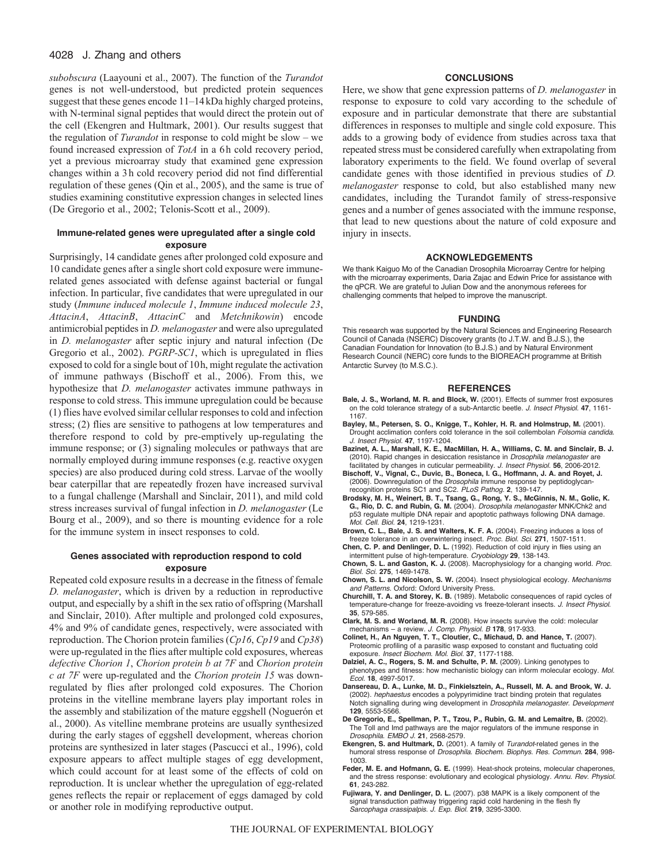# 4028 J. Zhang and others

*subobscura* (Laayouni et al., 2007). The function of the *Turandot* genes is not well-understood, but predicted protein sequences suggest that these genes encode 11–14kDa highly charged proteins, with N-terminal signal peptides that would direct the protein out of the cell (Ekengren and Hultmark, 2001). Our results suggest that the regulation of *Turandot* in response to cold might be slow – we found increased expression of *TotA* in a 6h cold recovery period, yet a previous microarray study that examined gene expression changes within a 3h cold recovery period did not find differential regulation of these genes (Qin et al., 2005), and the same is true of studies examining constitutive expression changes in selected lines (De Gregorio et al., 2002; Telonis-Scott et al., 2009).

# **Immune-related genes were upregulated after a single cold exposure**

Surprisingly, 14 candidate genes after prolonged cold exposure and 10 candidate genes after a single short cold exposure were immunerelated genes associated with defense against bacterial or fungal infection. In particular, five candidates that were upregulated in our study (*Immune induced molecule 1*, *Immune induced molecule 23*, *AttacinA*, *AttacinB*, *AttacinC* and *Metchnikowin*) encode antimicrobial peptides in *D. melanogaster* and were also upregulated in *D. melanogaster* after septic injury and natural infection (De Gregorio et al., 2002). *PGRP-SC1*, which is upregulated in flies exposed to cold for a single bout of 10h, might regulate the activation of immune pathways (Bischoff et al., 2006). From this, we hypothesize that *D. melanogaster* activates immune pathways in response to cold stress. This immune upregulation could be because (1) flies have evolved similar cellular responses to cold and infection stress; (2) flies are sensitive to pathogens at low temperatures and therefore respond to cold by pre-emptively up-regulating the immune response; or (3) signaling molecules or pathways that are normally employed during immune responses (e.g. reactive oxygen species) are also produced during cold stress. Larvae of the woolly bear caterpillar that are repeatedly frozen have increased survival to a fungal challenge (Marshall and Sinclair, 2011), and mild cold stress increases survival of fungal infection in *D. melanogaster* (Le Bourg et al., 2009), and so there is mounting evidence for a role for the immune system in insect responses to cold.

### **Genes associated with reproduction respond to cold exposure**

Repeated cold exposure results in a decrease in the fitness of female *D. melanogaster*, which is driven by a reduction in reproductive output, and especially by a shift in the sex ratio of offspring (Marshall and Sinclair, 2010). After multiple and prolonged cold exposures, 4% and 9% of candidate genes, respectively, were associated with reproduction. The Chorion protein families (*Cp16*, *Cp19* and *Cp38*) were up-regulated in the flies after multiple cold exposures, whereas *defective Chorion 1*, *Chorion protein b at 7F* and *Chorion protein c at 7F* were up-regulated and the *Chorion protein 15* was downregulated by flies after prolonged cold exposures. The Chorion proteins in the vitelline membrane layers play important roles in the assembly and stabilization of the mature eggshell (Noguerón et al., 2000). As vitelline membrane proteins are usually synthesized during the early stages of eggshell development, whereas chorion proteins are synthesized in later stages (Pascucci et al., 1996), cold exposure appears to affect multiple stages of egg development, which could account for at least some of the effects of cold on reproduction. It is unclear whether the upregulation of egg-related genes reflects the repair or replacement of eggs damaged by cold or another role in modifying reproductive output.

# **CONCLUSIONS**

Here, we show that gene expression patterns of *D. melanogaster* in response to exposure to cold vary according to the schedule of exposure and in particular demonstrate that there are substantial differences in responses to multiple and single cold exposure. This adds to a growing body of evidence from studies across taxa that repeated stress must be considered carefully when extrapolating from laboratory experiments to the field. We found overlap of several candidate genes with those identified in previous studies of *D. melanogaster* response to cold, but also established many new candidates, including the Turandot family of stress-responsive genes and a number of genes associated with the immune response, that lead to new questions about the nature of cold exposure and injury in insects.

#### **ACKNOWLEDGEMENTS**

We thank Kaiguo Mo of the Canadian Drosophila Microarray Centre for helping with the microarray experiments, Daria Zajac and Edwin Price for assistance with the qPCR. We are grateful to Julian Dow and the anonymous referees for challenging comments that helped to improve the manuscript.

#### **FUNDING**

This research was supported by the Natural Sciences and Engineering Research Council of Canada (NSERC) Discovery grants (to J.T.W. and B.J.S.), the Canadian Foundation for Innovation (to B.J.S.) and by Natural Environment Research Council (NERC) core funds to the BIOREACH programme at British Antarctic Survey (to M.S.C.).

#### **REFERENCES**

- **Bale, J. S., Worland, M. R. and Block, W.** (2001). Effects of summer frost exposures on the cold tolerance strategy of a sub-Antarctic beetle. *J. Insect Physiol.* **47**, 1161- 1167.
- **Bayley, M., Petersen, S. O., Knigge, T., Kohler, H. R. and Holmstrup, M.** (2001). Drought acclimation confers cold tolerance in the soil collembolan *Folsomia candida*. *J. Insect Physiol.* **47**, 1197-1204.
- **Bazinet, A. L., Marshall, K. E., MacMillan, H. A., Williams, C. M. and Sinclair, B. J.** (2010). Rapid changes in desiccation resistance in *Drosophila melanogaster* are facilitated by changes in cuticular permeability. *J. Insect Physiol.* **56**, 2006-2012.
- **Bischoff, V., Vignal, C., Duvic, B., Boneca, I. G., Hoffmann, J. A. and Royet, J.** (2006). Downregulation of the *Drosophila* immune response by peptidoglycanrecognition proteins SC1 and SC2. *PLoS Pathog.* **2**, 139-147.
- **Brodsky, M. H., Weinert, B. T., Tsang, G., Rong, Y. S., McGinnis, N. M., Golic, K. G., Rio, D. C. and Rubin, G. M.** (2004). *Drosophila melanogaster* MNK/Chk2 and p53 regulate multiple DNA repair and apoptotic pathways following DNA damage. *Mol. Cell. Biol.* **24**, 1219-1231.
- **Brown, C. L., Bale, J. S. and Walters, K. F. A.** (2004). Freezing induces a loss of freeze tolerance in an overwintering insect. *Proc. Biol. Sci.* **271**, 1507-1511.
- **Chen, C. P. and Denlinger, D. L.** (1992). Reduction of cold injury in flies using an intermittent pulse of high-temperature. *Cryobiology* **29**, 138-143.
- **Chown, S. L. and Gaston, K. J.** (2008). Macrophysiology for a changing world. *Proc. Biol. Sci.* **275**, 1469-1478.
- **Chown, S. L. and Nicolson, S. W.** (2004). Insect physiological ecology. *Mechanisms and Patterns*. Oxford: Oxford University Press.
- **Churchill, T. A. and Storey, K. B.** (1989). Metabolic consequences of rapid cycles of temperature-change for freeze-avoiding vs freeze-tolerant insects. *J. Insect Physiol.* **35**, 579-585.
- **Clark, M. S. and Worland, M. R.** (2008). How insects survive the cold: molecular mechanisms – a review. *J. Comp. Physiol. B* **178**, 917-933.
- **Colinet, H., An Nguyen, T. T., Cloutier, C., Michaud, D. and Hance, T.** (2007). Proteomic profiling of a parasitic wasp exposed to constant and fluctuating cold exposure. *Insect Biochem. Mol. Biol.* **37**, 1177-1188.
- **Dalziel, A. C., Rogers, S. M. and Schulte, P. M.** (2009). Linking genotypes to phenotypes and fitness: how mechanistic biology can inform molecular ecology. *Mol. Ecol.* **18**, 4997-5017.
- **Dansereau, D. A., Lunke, M. D., Finkielsztein, A., Russell, M. A. and Brook, W. J.** (2002). *hephaestus* encodes a polypyrimidine tract binding protein that regulates Notch signalling during wing development in *Drosophila melanogaster*. *Development* **129**, 5553-5566.
- **De Gregorio, E., Spellman, P. T., Tzou, P., Rubin, G. M. and Lemaitre, B.** (2002). The Toll and Imd pathways are the major regulators of the immune response in *Drosophila*. *EMBO J.* **21**, 2568-2579.
- **Ekengren, S. and Hultmark, D.** (2001). A family of *Turandot*-related genes in the humoral stress response of *Drosophila*. *Biochem. Biophys. Res. Commun.* **284**, 998- 1003.
- **Feder, M. E. and Hofmann, G. E.** (1999). Heat-shock proteins, molecular chaperones, and the stress response: evolutionary and ecological physiology. *Annu. Rev. Physiol.* **61**, 243-282.
- **Fujiwara, Y. and Denlinger, D. L.** (2007). p38 MAPK is a likely component of the signal transduction pathway triggering rapid cold hardening in the flesh fly *Sarcophaga crassipalpis*. *J. Exp. Biol.* **219**, 3295-3300.